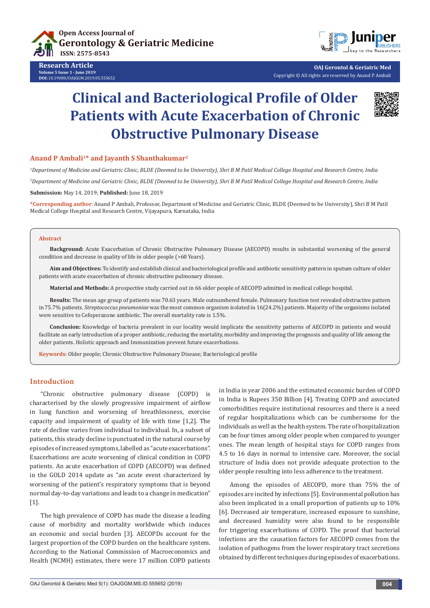

**Research Article Volume 5 Issue 1 - June 2019 DOI:** [10.19080/OAJGGM.2019.05.555652](http://dx.doi.org/10.19080/OAJGGM.2019.05.555652)



**OAJ Gerontol & Geriatric Med** Copyright © All rights are reserved by Anand P Ambali

# **Clinical and Bacteriological Profile of Older Patients with Acute Exacerbation of Chronic Obstructive Pulmonary Disease**



## Anand P Ambali<sup>1\*</sup> and Javanth S Shanthakumar<sup>2</sup>

*1 Department of Medicine and Geriatric Clinic, BLDE (Deemed to be University), Shri B M Patil Medical College Hospital and Research Centre, India 2 Department of Medicine and Geriatric Clinic, BLDE (Deemed to be University), Shri B M Patil Medical College Hospital and Research Centre, India*  **Submission:** May 14, 2019; **Published:** June 18, 2019

**\*Corresponding author**: Anand P Ambali, Professor, Department of Medicine and Geriatric Clinic, BLDE (Deemed to be University), Shri B M Patil Medical College Hospital and Research Centre, Vijayapura, Karnataka, India

#### **Abstract**

**Background:** Acute Exacerbation of Chronic Obstructive Pulmonary Disease (AECOPD) results in substantial worsening of the general condition and decrease in quality of life in older people (>60 Years).

**Aim and Objectives:** To identify and establish clinical and bacteriological profile and antibiotic sensitivity pattern in sputum culture of older patients with acute exacerbation of chronic obstructive pulmonary disease.

**Material and Methods:** A prospective study carried out in 66 older people of AECOPD admitted in medical college hospital.

**Results:** The mean age group of patients was 70.63 years. Male outnumbered female. Pulmonary function test revealed obstructive pattern in 75.7% patients. *Streptococcus pneumoniae* was the most common organism isolated in 16(24.2%) patients. Majority of the organisms isolated were sensitive to Cefoperazone antibiotic. The overall mortality rate is 1.5%.

**Conclusion:** Knowledge of bacteria prevalent in our locality would implicate the sensitivity patterns of AECOPD in patients and would facilitate an early introduction of a proper antibiotic, reducing the mortality, morbidity and improving the prognosis and quality of life among the older patients. Holistic approach and Immunization prevent future exacerbations.

**Keywords:** Older people; Chronic Obstructive Pulmonary Disease; Bacteriological profile

# **Introduction**

"Chronic obstructive pulmonary disease (COPD) is characterised by the slowly progressive impairment of airflow in lung function and worsening of breathlessness, exercise capacity and impairment of quality of life with time [1,2]. The rate of decline varies from individual to individual. In, a subset of patients, this steady decline is punctuated in the natural course by episodes of increased symptoms, labelled as "acute exacerbations". Exacerbations are acute worsening of clinical condition in COPD patients. An acute exacerbation of COPD (AECOPD) was defined in the GOLD 2014 update as "an acute event characterized by worsening of the patient's respiratory symptoms that is beyond normal day-to-day variations and leads to a change in medication" [1].

The high prevalence of COPD has made the disease a leading cause of morbidity and mortality worldwide which induces an economic and social burden [3]. AECOPDs account for the largest proportion of the COPD burden on the healthcare system. According to the National Commission of Macroeconomics and Health (NCMH) estimates, there were 17 million COPD patients in India in year 2006 and the estimated economic burden of COPD in India is Rupees 350 Billion [4]. Treating COPD and associated comorbidities require institutional resources and there is a need of regular hospitalizations which can be cumbersome for the individuals as well as the health system. The rate of hospitalization can be four times among older people when compared to younger ones. The mean length of hospital stays for COPD ranges from 4.5 to 16 days in normal to intensive care. Moreover, the social structure of India does not provide adequate protection to the older people resulting into less adherence to the treatment.

Among the episodes of AECOPD, more than 75% the of episodes are incited by infections [5]. Environmental pollution has also been implicated in a small proportion of patients up to 10% [6]. Decreased air temperature, increased exposure to sunshine, and decreased humidity were also found to be responsible for triggering exacerbations of COPD. The proof that bacterial infections are the causation factors for AECOPD comes from the isolation of pathogens from the lower respiratory tract secretions obtained by different techniques during episodes of exacerbations.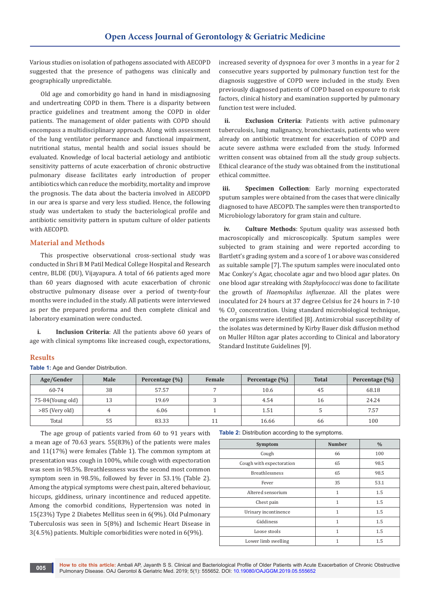Various studies on isolation of pathogens associated with AECOPD suggested that the presence of pathogens was clinically and geographically unpredictable.

Old age and comorbidity go hand in hand in misdiagnosing and undertreating COPD in them. There is a disparity between practice guidelines and treatment among the COPD in older patients. The management of older patients with COPD should encompass a multidisciplinary approach. Along with assessment of the lung ventilator performance and functional impairment, nutritional status, mental health and social issues should be evaluated. Knowledge of local bacterial aetiology and antibiotic sensitivity patterns of acute exacerbation of chronic obstructive pulmonary disease facilitates early introduction of proper antibiotics which can reduce the morbidity, mortality and improve the prognosis. The data about the bacteria involved in AECOPD in our area is sparse and very less studied. Hence, the following study was undertaken to study the bacteriological profile and antibiotic sensitivity pattern in sputum culture of older patients with AECOPD.

# **Material and Methods**

This prospective observational cross-sectional study was conducted in Shri B M Patil Medical College Hospital and Research centre, BLDE (DU), Vijayapura. A total of 66 patients aged more than 60 years diagnosed with acute exacerbation of chronic obstructive pulmonary disease over a period of twenty-four months were included in the study. All patients were interviewed as per the prepared proforma and then complete clinical and laboratory examination were conducted.

**i. Inclusion Criteria**: All the patients above 60 years of age with clinical symptoms like increased cough, expectorations,

# increased severity of dyspnoea for over 3 months in a year for 2 consecutive years supported by pulmonary function test for the diagnosis suggestive of COPD were included in the study. Even previously diagnosed patients of COPD based on exposure to risk factors, clinical history and examination supported by pulmonary function test were included.

**ii. Exclusion Criteria**: Patients with active pulmonary tuberculosis, lung malignancy, bronchiectasis, patients who were already on antibiotic treatment for exacerbation of COPD and acute severe asthma were excluded from the study. Informed written consent was obtained from all the study group subjects. Ethical clearance of the study was obtained from the institutional ethical committee.

**iii. Specimen Collection**: Early morning expectorated sputum samples were obtained from the cases that were clinically diagnosed to have AECOPD. The samples were then transported to Microbiology laboratory for gram stain and culture.

**iv. Culture Methods**: Sputum quality was assessed both macroscopically and microscopically. Sputum samples were subjected to gram staining and were reported according to Bartlett's grading system and a score of 1 or above was considered as suitable sample [7]. The sputum samples were inoculated onto Mac Conkey's Agar, chocolate agar and two blood agar plates. On one blood agar streaking with *Staphylococci* was done to facilitate the growth of *Haemophilus influenzae*. All the plates were inoculated for 24 hours at 37 degree Celsius for 24 hours in 7-10 %  $\rm CO_{2}$  concentration. Using standard microbiological technique, the organisms were identified [8]. Antimicrobial susceptibility of the isolates was determined by Kirby Bauer disk diffusion method on Muller Hilton agar plates according to Clinical and laboratory Standard Institute Guidelines [9].

## **Results**

**Table 1:** Age and Gender Distribution.

| Age/Gender       | Male | Percentage (%) | Female | Percentage (%) | <b>Total</b> | Percentage $(\% )$ |
|------------------|------|----------------|--------|----------------|--------------|--------------------|
| 60-74            | 38   | 57.57          |        | 10.6           | 45           | 68.18              |
| 75-84(Young old) | 13   | 19.69          |        | 4.54           | 16           | 24.24              |
| >85 (Very old)   |      | 6.06           |        | 1.51           |              | 7.57               |
| Total            | 55   | 83.33          |        | 16.66          | 66           | 100                |

The age group of patients varied from 60 to 91 years with a mean age of 70.63 years. 55(83%) of the patients were males and 11(17%) were females (Table 1). The common symptom at presentation was cough in 100%, while cough with expectoration was seen in 98.5%. Breathlessness was the second most common symptom seen in 98.5%, followed by fever in 53.1% (Table 2). Among the atypical symptoms were chest pain, altered behaviour, hiccups, giddiness, urinary incontinence and reduced appetite. Among the comorbid conditions, Hypertension was noted in 15(23%) Type 2 Diabetes Mellitus seen in 6(9%). Old Pulmonary Tuberculosis was seen in 5(8%) and Ischemic Heart Disease in 3(4.5%) patients. Multiple comorbidities were noted in 6(9%).

#### **Table 2:** Distribution according to the symptoms.

| Symptom                  | <b>Number</b> | $\frac{0}{0}$ |
|--------------------------|---------------|---------------|
| Cough                    | 66            | 100           |
| Cough with expectoration | 65            | 98.5          |
| <b>Breathlessness</b>    | 65            | 98.5          |
| Fever                    | 35            | 53.1          |
| Altered sensorium        | 1             | 1.5           |
| Chest pain               | 1             | 1.5           |
| Urinary incontinence     | 1             | 1.5           |
| Giddiness                | 1             | 1.5           |
| Loose stools             | 1             | 1.5           |
| Lower limb swelling      | 1             | 1.5           |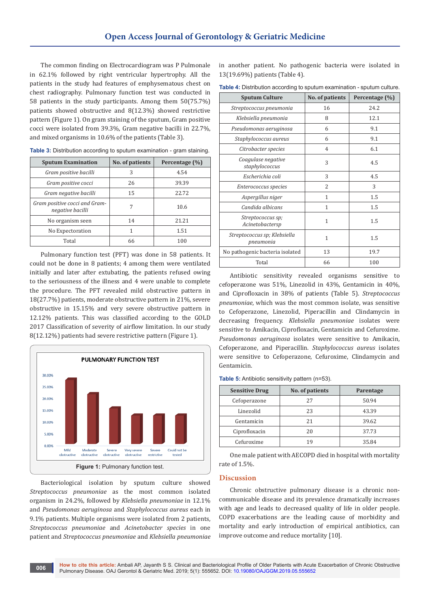The common finding on Electrocardiogram was P Pulmonale in 62.1% followed by right ventricular hypertrophy. All the patients in the study had features of emphysematous chest on chest radiography. Pulmonary function test was conducted in 58 patients in the study participants. Among them 50(75.7%) patients showed obstructive and 8(12.3%) showed restrictive pattern (Figure 1). On gram staining of the sputum, Gram positive cocci were isolated from 39.3%, Gram negative bacilli in 22.7%, and mixed organisms in 10.6% of the patients (Table 3).

| <b>Sputum Examination</b>                         | No. of patients | Percentage (%) |
|---------------------------------------------------|-----------------|----------------|
| Gram positive bacilli                             | 3               | 4.54           |
| Gram positive cocci                               | 26              | 39.39          |
| Gram negative bacilli                             | 15              | 22.72          |
| Gram positive cocci and Gram-<br>negative bacilli | 7               | 10.6           |
| No organism seen                                  | 14              | 21.21          |
| No Expectoration                                  | 1               | 1.51           |
| Total                                             | 66              | 100            |

**Table 3:** Distribution according to sputum examination - gram staining.

Pulmonary function test (PFT) was done in 58 patients. It could not be done in 8 patients; 4 among them were ventilated initially and later after extubating, the patients refused owing to the seriousness of the illness and 4 were unable to complete the procedure. The PFT revealed mild obstructive pattern in 18(27.7%) patients, moderate obstructive pattern in 21%, severe obstructive in 15.15% and very severe obstructive pattern in 12.12% patients. This was classified according to the GOLD 2017 Classification of severity of airflow limitation. In our study 8(12.12%) patients had severe restrictive pattern (Figure 1).



Bacteriological isolation by sputum culture showed *Streptococcus pneumoniae* as the most common isolated organism in 24.2%, followed by *Klebsiella pneumoniae* in 12.1% and *Pseudomonas aeruginosa* and *Staphylococcus aureus* each in 9.1% patients. Multiple organisms were isolated from 2 patients, *Streptococcus pneumoniae* and *Acinetobacter species* in one patient and *Streptococcus pneumoniae* and *Klebsiella pneumoniae* in another patient. No pathogenic bacteria were isolated in 13(19.69%) patients (Table 4).

| Table 4: Distribution according to sputum examination - sputum culture. |  |
|-------------------------------------------------------------------------|--|
|-------------------------------------------------------------------------|--|

| <b>Sputum Culture</b>                     | No. of patients | Percentage (%) |
|-------------------------------------------|-----------------|----------------|
| Streptococcus pneumonia                   | 16              | 24.2           |
| Klebsiella pneumonia                      | 8               | 12.1           |
| Pseudomonas aeruginosa                    | 6               | 9.1            |
| Staphylococcus aureus                     | 6               | 9.1            |
| Citrobacter species                       | $\overline{4}$  | 6.1            |
| Coagulase negative<br>staphylococcus      | 3               | 4.5            |
| Escherichia coli                          | 3               | 4.5            |
| Enterococcus species                      | 2               | 3              |
| Aspergillus niger                         | 1               | 1.5            |
| Candida albicans                          | 1               | 1.5            |
| Streptococcus sp;<br>Acinetobactersp      | 1               | 1.5            |
| Streptococcus sp; Klebsiella<br>pneumonia | $\mathbf{1}$    | 1.5            |
| No pathogenic bacteria isolated           | 13              | 19.7           |
| Total                                     | 66              | 100            |

Antibiotic sensitivity revealed organisms sensitive to cefoperazone was 51%, Linezolid in 43%, Gentamicin in 40%, and Ciprofloxacin in 38% of patients (Table 5). *Streptococcus pneumoniae*, which was the most common isolate, was sensitive to Cefoperazone, Linezolid, Piperacillin and Clindamycin in decreasing frequency. *Klebsiella pneumoniae* isolates were sensitive to Amikacin, Ciprofloxacin, Gentamicin and Cefuroxime. *Pseudomonas aeruginosa* isolates were sensitive to Amikacin, Cefoperazone, and Piperacillin. *Staphylococcus aureus* isolates were sensitive to Cefoperazone, Cefuroxime, Clindamycin and Gentamicin.

**Table 5:** Antibiotic sensitivity pattern (n=53).

| <b>Sensitive Drug</b> | No. of patients | Parentage |
|-----------------------|-----------------|-----------|
| Cefoperazone          | 27              | 50.94     |
| Linezolid             | 23              | 43.39     |
| Gentamicin            | 21              | 39.62     |
| Ciprofloxacin         | 20              | 37.73     |
| Cefuroxime            | 19              | 35.84     |

One male patient with AECOPD died in hospital with mortality rate of 1.5%.

### **Discussion**

Chronic obstructive pulmonary disease is a chronic noncommunicable disease and its prevalence dramatically increases with age and leads to decreased quality of life in older people. COPD exacerbations are the leading cause of morbidity and mortality and early introduction of empirical antibiotics, can improve outcome and reduce mortality [10].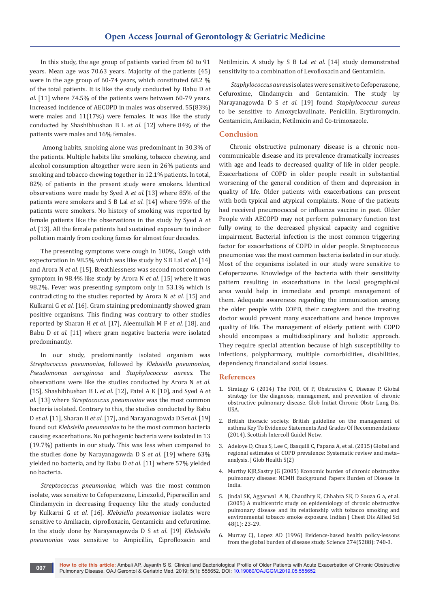In this study, the age group of patients varied from 60 to 91 years. Mean age was 70.63 years. Majority of the patients (45) were in the age group of 60-74 years, which constituted 68.2 % of the total patients. It is like the study conducted by Babu D *et al.* [11] where 74.5% of the patients were between 60-79 years. Increased incidence of AECOPD in males was observed, 55(83%) were males and 11(17%) were females. It was like the study conducted by Shashibhushan B L *et al.* [12] where 84% of the patients were males and 16% females.

 Among habits, smoking alone was predominant in 30.3% of the patients. Multiple habits like smoking, tobacco chewing, and alcohol consumption altogether were seen in 26% patients and smoking and tobacco chewing together in 12.1% patients. In total, 82% of patients in the present study were smokers. Identical observations were made by Syed A *et al.* [13] where 85% of the patients were smokers and S B Lal *et al.* [14] where 95% of the patients were smokers. No history of smoking was reported by female patients like the observations in the study by Syed A *et al.* [13]. All the female patients had sustained exposure to indoor pollution mainly from cooking fumes for almost four decades.

The presenting symptoms were cough in 100%, Cough with expectoration in 98.5% which was like study by S B Lal *et al*. [14] and Arora N *et al.* [15]. Breathlessness was second most common symptom in 98.4% like study by Arora N *et al*. [15] where it was 98.2%. Fever was presenting symptom only in 53.1% which is contradicting to the studies reported by Arora N *et al.* [15] and Kulkarni G *et al*. [16]. Gram staining predominantly showed gram positive organisms. This finding was contrary to other studies reported by Sharan H *et al.* [17], Aleemullah M F *et al.* [18], and Babu D *et al.* [11] where gram negative bacteria were isolated predominantly.

In our study, predominantly isolated organism was *Streptococcus pneumoniae*, followed by *Klebsiella pneumoniae*, *Pseudomonas aeruginosa* and *Staphylococcus aureus*. The observations were like the studies conducted by Arora N *et al.*  [15], Shashibhushan B L *et al.* [12], Patel A K [10], and Syed A *et al.* [13] where *Streptococcus pneumoniae* was the most common bacteria isolated. Contrary to this, the studies conducted by Babu D *et al.* [11], Sharan H *et al.* [17], and Narayanagowda D S*et al.* [19] found out *Klebsiella pneumoniae* to be the most common bacteria causing exacerbations. No pathogenic bacteria were isolated in 13 (19.7%) patients in our study. This was less when compared to the studies done by Narayanagowda D S *et al.* [19] where 63% yielded no bacteria, and by Babu D *et al.* [11] where 57% yielded no bacteria.

*Streptococcus pneumoniae*, which was the most common isolate, was sensitive to Cefoperazone, Linezolid, Piperacillin and Clindamycin in decreasing frequency like the study conducted by Kulkarni G *et al.* [16]. *Klebsiella pneumoniae* isolates were sensitive to Amikacin, ciprofloxacin, Gentamicin and cefuroxime. In the study done by Narayanagowda D S *et al.* [19] *Klebsiella pneumoniae* was sensitive to Ampicillin, Ciprofloxacin and

Netilmicin. A study by S B Lal *et al.* [14] study demonstrated sensitivity to a combination of Levofloxacin and Gentamicin.

*Staphylococcus aureus* isolates were sensitive to Cefoperazone, Cefuroxime, Clindamycin and Gentamicin. The study by Narayanagowda D S *et al.* [19] found *Staphylococcus aureus* to be sensitive to Amoxyclavulinate, Penicillin, Erythromycin, Gentamicin, Amikacin, Netilmicin and Co-trimoxazole.

# **Conclusion**

Chronic obstructive pulmonary disease is a chronic noncommunicable disease and its prevalence dramatically increases with age and leads to decreased quality of life in older people. Exacerbations of COPD in older people result in substantial worsening of the general condition of them and depression in quality of life. Older patients with exacerbations can present with both typical and atypical complaints. None of the patients had received pneumococcal or influenza vaccine in past. Older People with AECOPD may not perform pulmonary function test fully owing to the decreased physical capacity and cognitive impairment. Bacterial infection is the most common triggering factor for exacerbations of COPD in older people. Streptococcus pneumoniae was the most common bacteria isolated in our study. Most of the organisms isolated in our study were sensitive to Cefoperazone. Knowledge of the bacteria with their sensitivity pattern resulting in exacerbations in the local geographical area would help in immediate and prompt management of them. Adequate awareness regarding the immunization among the older people with COPD, their caregivers and the treating doctor would prevent many exacerbations and hence improves quality of life. The management of elderly patient with COPD should encompass a multidisciplinary and holistic approach. They require special attention because of high susceptibility to infections, polypharmacy, multiple comorbidities, disabilities, dependency, financial and social issues.

## **References**

- 1. Strategy G (2014) The FOR, Of P, Obstructive C, Disease P. Global strategy for the diagnosis, management, and prevention of chronic obstructive pulmonary disease. Glob Initiat Chronic Obstr Lung Dis, USA.
- 2. British thoracic society. British guideline on the management of asthma Key To Evidence Statements And Grades Of Recommendations (2014). Scottish Intercoll Guidel Netw.
- 3. [Adeloye D, Chua S, Lee C, Basquill C, Papana A, et al. \(2015\) Global and](https://www.ncbi.nlm.nih.gov/pubmed/26755942)  [regional estimates of COPD prevalence: Systematic review and meta–](https://www.ncbi.nlm.nih.gov/pubmed/26755942) [analysis. J Glob Health 5\(2\)](https://www.ncbi.nlm.nih.gov/pubmed/26755942)
- 4. Murthy KJR,Sastry JG (2005) Economic burden of chronic obstructive pulmonary disease: NCMH Background Papers Burden of Disease in India.
- 5. [Jindal SK, Aggarwal A N, Chaudhry K, Chhabra SK, D Souza G a, et al.](https://www.ncbi.nlm.nih.gov/pubmed/16482948)  [\(2005\) A multicentric study on epidemiology of chronic obstructive](https://www.ncbi.nlm.nih.gov/pubmed/16482948)  [pulmonary disease and its relationship with tobacco smoking and](https://www.ncbi.nlm.nih.gov/pubmed/16482948)  [environmental tobacco smoke exposure. Indian J Chest Dis Allied Sci](https://www.ncbi.nlm.nih.gov/pubmed/16482948)  [48\(1\): 23-29.](https://www.ncbi.nlm.nih.gov/pubmed/16482948)
- 6. [Murray CJ, Lopez AD \(1996\) Evidence-based health policy-lessons](https://www.ncbi.nlm.nih.gov/pubmed/8966556)  [from the global burden of disease study. Science 274\(5288\): 740-3.](https://www.ncbi.nlm.nih.gov/pubmed/8966556)